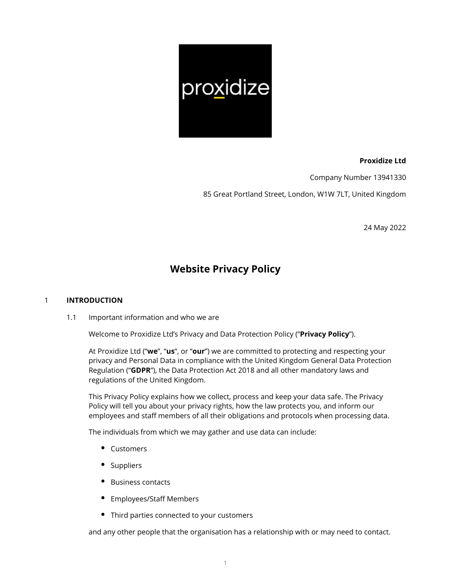

## **Proxidize Ltd**

Company Number 13941330

85 Great Portland Street, London, W1W 7LT, United Kingdom

24 May 2022

# **Website Privacy Policy**

## 1 **INTRODUCTION**

1.1 Important information and who we are

Welcome to Proxidize Ltd's Privacy and Data Protection Policy ("**Privacy Policy**").

At Proxidize Ltd ("**we**", "**us**", or "**our**") we are committed to protecting and respecting your privacy and Personal Data in compliance with the United Kingdom General Data Protection Regulation ("**GDPR**"), the Data Protection Act 2018 and all other mandatory laws and regulations of the United Kingdom.

This Privacy Policy explains how we collect, process and keep your data safe. The Privacy Policy will tell you about your privacy rights, how the law protects you, and inform our employees and staff members of all their obligations and protocols when processing data.

The individuals from which we may gather and use data can include:

- Customers
- Suppliers
- Business contacts
- Employees/Staff Members
- Third parties connected to your customers

and any other people that the organisation has a relationship with or may need to contact.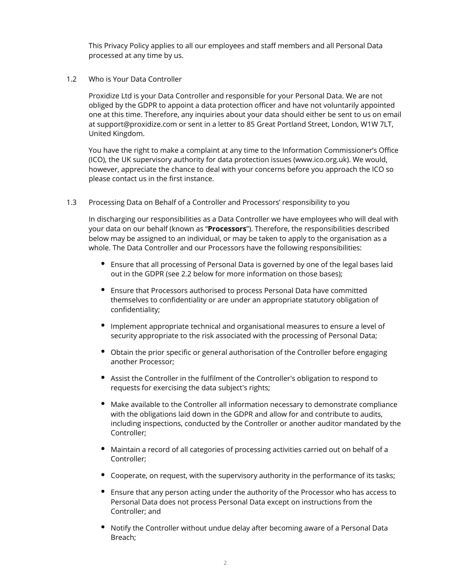This Privacy Policy applies to all our employees and staff members and all Personal Data processed at any time by us.

1.2 Who is Your Data Controller

Proxidize Ltd is your Data Controller and responsible for your Personal Data. We are not obliged by the GDPR to appoint a data protection officer and have not voluntarily appointed one at this time. Therefore, any inquiries about your data should either be sent to us on email at support@proxidize.com or sent in a letter to 85 Great Portland Street, London, W1W 7LT, United Kingdom.

You have the right to make a complaint at any time to the Information Commissioner's Office (ICO), the UK supervisory authority for data protection issues (www.ico.org.uk). We would, however, appreciate the chance to deal with your concerns before you approach the ICO so please contact us in the first instance.

1.3 Processing Data on Behalf of a Controller and Processors' responsibility to you

In discharging our responsibilities as a Data Controller we have employees who will deal with your data on our behalf (known as "**Processors**"). Therefore, the responsibilities described below may be assigned to an individual, or may be taken to apply to the organisation as a whole. The Data Controller and our Processors have the following responsibilities:

- Ensure that all processing of Personal Data is governed by one of the legal bases laid out in the GDPR (see 2.2 below for more information on those bases);
- Ensure that Processors authorised to process Personal Data have committed themselves to confidentiality or are under an appropriate statutory obligation of confidentiality;
- Implement appropriate technical and organisational measures to ensure a level of security appropriate to the risk associated with the processing of Personal Data;
- Obtain the prior specific or general authorisation of the Controller before engaging another Processor;
- Assist the Controller in the fulfilment of the Controller's obligation to respond to requests for exercising the data subject's rights;
- Make available to the Controller all information necessary to demonstrate compliance with the obligations laid down in the GDPR and allow for and contribute to audits, including inspections, conducted by the Controller or another auditor mandated by the Controller;
- Maintain a record of all categories of processing activities carried out on behalf of a Controller;
- Cooperate, on request, with the supervisory authority in the performance of its tasks;
- Ensure that any person acting under the authority of the Processor who has access to Personal Data does not process Personal Data except on instructions from the Controller; and
- Notify the Controller without undue delay after becoming aware of a Personal Data Breach;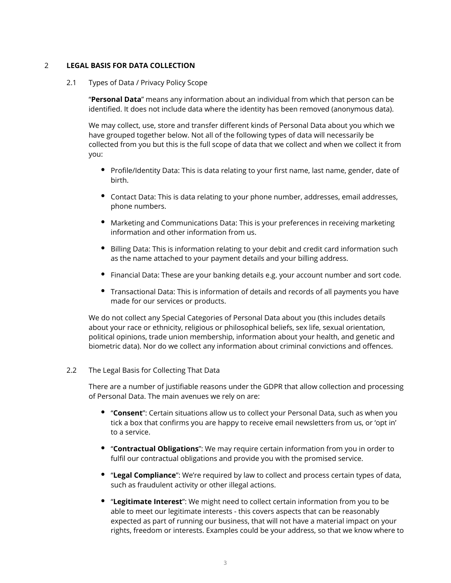## 2 **LEGAL BASIS FOR DATA COLLECTION**

#### 2.1 Types of Data / Privacy Policy Scope

"**Personal Data**" means any information about an individual from which that person can be identified. It does not include data where the identity has been removed (anonymous data).

We may collect, use, store and transfer different kinds of Personal Data about you which we have grouped together below. Not all of the following types of data will necessarily be collected from you but this is the full scope of data that we collect and when we collect it from you:

- Profile/Identity Data: This is data relating to your first name, last name, gender, date of birth.
- Contact Data: This is data relating to your phone number, addresses, email addresses, phone numbers.
- Marketing and Communications Data: This is your preferences in receiving marketing information and other information from us.
- **Billing Data: This is information relating to your debit and credit card information such** as the name attached to your payment details and your billing address.
- Financial Data: These are your banking details e.g. your account number and sort code.
- Transactional Data: This is information of details and records of all payments you have made for our services or products.

We do not collect any Special Categories of Personal Data about you (this includes details about your race or ethnicity, religious or philosophical beliefs, sex life, sexual orientation, political opinions, trade union membership, information about your health, and genetic and biometric data). Nor do we collect any information about criminal convictions and offences.

#### 2.2 The Legal Basis for Collecting That Data

There are a number of justifiable reasons under the GDPR that allow collection and processing of Personal Data. The main avenues we rely on are:

- "**Consent**": Certain situations allow us to collect your Personal Data, such as when you tick a box that confirms you are happy to receive email newsletters from us, or 'opt in' to a service.
- "**Contractual Obligations**": We may require certain information from you in order to fulfil our contractual obligations and provide you with the promised service.
- "**Legal Compliance**": We're required by law to collect and process certain types of data, such as fraudulent activity or other illegal actions.
- "**Legitimate Interest**": We might need to collect certain information from you to be able to meet our legitimate interests - this covers aspects that can be reasonably expected as part of running our business, that will not have a material impact on your rights, freedom or interests. Examples could be your address, so that we know where to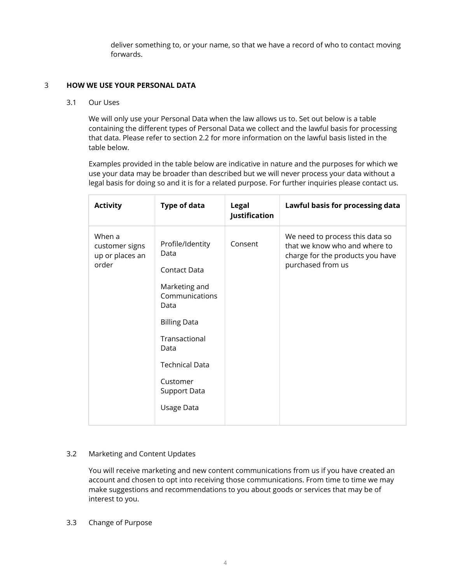deliver something to, or your name, so that we have a record of who to contact moving forwards.

## 3 **HOW WE USE YOUR PERSONAL DATA**

#### 3.1 Our Uses

We will only use your Personal Data when the law allows us to. Set out below is a table containing the different types of Personal Data we collect and the lawful basis for processing that data. Please refer to section 2.2 for more information on the lawful basis listed in the table below.

Examples provided in the table below are indicative in nature and the purposes for which we use your data may be broader than described but we will never process your data without a legal basis for doing so and it is for a related purpose. For further inquiries please contact us.

| <b>Activity</b>                                      | <b>Type of data</b>                      | <b>Legal</b><br><b>Justification</b> | Lawful basis for processing data                                                                                          |
|------------------------------------------------------|------------------------------------------|--------------------------------------|---------------------------------------------------------------------------------------------------------------------------|
| When a<br>customer signs<br>up or places an<br>order | Profile/Identity<br>Data<br>Contact Data | Consent                              | We need to process this data so<br>that we know who and where to<br>charge for the products you have<br>purchased from us |
|                                                      | Marketing and<br>Communications<br>Data  |                                      |                                                                                                                           |
|                                                      | <b>Billing Data</b>                      |                                      |                                                                                                                           |
|                                                      | Transactional<br>Data                    |                                      |                                                                                                                           |
|                                                      | <b>Technical Data</b>                    |                                      |                                                                                                                           |
|                                                      | Customer<br>Support Data                 |                                      |                                                                                                                           |
|                                                      | Usage Data                               |                                      |                                                                                                                           |

# 3.2 Marketing and Content Updates

You will receive marketing and new content communications from us if you have created an account and chosen to opt into receiving those communications. From time to time we may make suggestions and recommendations to you about goods or services that may be of interest to you.

#### 3.3 Change of Purpose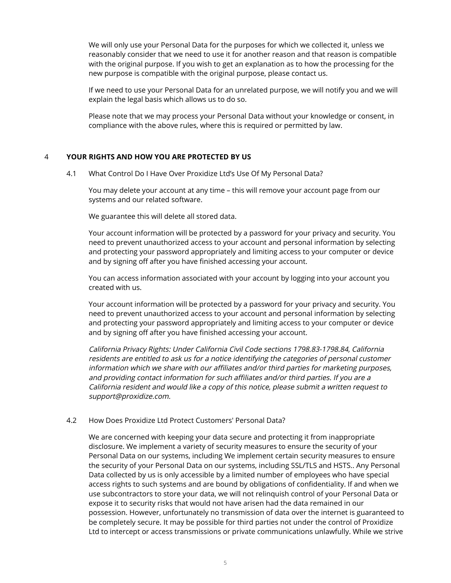We will only use your Personal Data for the purposes for which we collected it, unless we reasonably consider that we need to use it for another reason and that reason is compatible with the original purpose. If you wish to get an explanation as to how the processing for the new purpose is compatible with the original purpose, please contact us.

If we need to use your Personal Data for an unrelated purpose, we will notify you and we will explain the legal basis which allows us to do so.

Please note that we may process your Personal Data without your knowledge or consent, in compliance with the above rules, where this is required or permitted by law.

## 4 **YOUR RIGHTS AND HOW YOU ARE PROTECTED BY US**

4.1 What Control Do I Have Over Proxidize Ltd's Use Of My Personal Data?

You may delete your account at any time – this will remove your account page from our systems and our related software.

We guarantee this will delete all stored data.

Your account information will be protected by a password for your privacy and security. You need to prevent unauthorized access to your account and personal information by selecting and protecting your password appropriately and limiting access to your computer or device and by signing off after you have finished accessing your account.

You can access information associated with your account by logging into your account you created with us.

Your account information will be protected by a password for your privacy and security. You need to prevent unauthorized access to your account and personal information by selecting and protecting your password appropriately and limiting access to your computer or device and by signing off after you have finished accessing your account.

California Privacy Rights: Under California Civil Code sections 1798.83-1798.84, California residents are entitled to ask us for a notice identifying the categories of personal customer information which we share with our affiliates and/or third parties for marketing purposes, and providing contact information for such affiliates and/or third parties. If you are a California resident and would like a copy of this notice, please submit a written request to support@proxidize.com.

#### 4.2 How Does Proxidize Ltd Protect Customers' Personal Data?

We are concerned with keeping your data secure and protecting it from inappropriate disclosure. We implement a variety of security measures to ensure the security of your Personal Data on our systems, including We implement certain security measures to ensure the security of your Personal Data on our systems, including SSL/TLS and HSTS.. Any Personal Data collected by us is only accessible by a limited number of employees who have special access rights to such systems and are bound by obligations of confidentiality. If and when we use subcontractors to store your data, we will not relinquish control of your Personal Data or expose it to security risks that would not have arisen had the data remained in our possession. However, unfortunately no transmission of data over the internet is guaranteed to be completely secure. It may be possible for third parties not under the control of Proxidize Ltd to intercept or access transmissions or private communications unlawfully. While we strive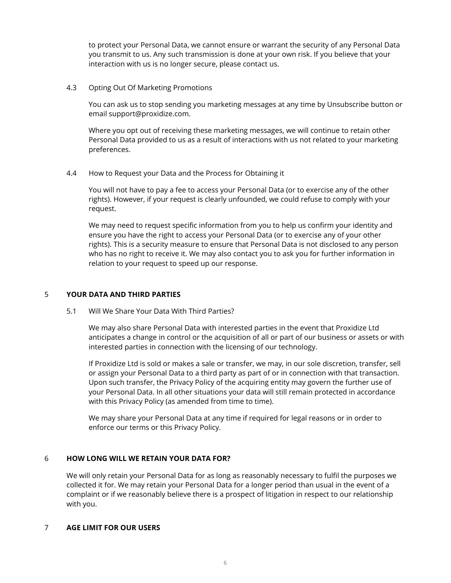to protect your Personal Data, we cannot ensure or warrant the security of any Personal Data you transmit to us. Any such transmission is done at your own risk. If you believe that your interaction with us is no longer secure, please contact us.

4.3 Opting Out Of Marketing Promotions

You can ask us to stop sending you marketing messages at any time by Unsubscribe button or email support@proxidize.com.

Where you opt out of receiving these marketing messages, we will continue to retain other Personal Data provided to us as a result of interactions with us not related to your marketing preferences.

4.4 How to Request your Data and the Process for Obtaining it

You will not have to pay a fee to access your Personal Data (or to exercise any of the other rights). However, if your request is clearly unfounded, we could refuse to comply with your request.

We may need to request specific information from you to help us confirm your identity and ensure you have the right to access your Personal Data (or to exercise any of your other rights). This is a security measure to ensure that Personal Data is not disclosed to any person who has no right to receive it. We may also contact you to ask you for further information in relation to your request to speed up our response.

# 5 **YOUR DATA AND THIRD PARTIES**

5.1 Will We Share Your Data With Third Parties?

We may also share Personal Data with interested parties in the event that Proxidize Ltd anticipates a change in control or the acquisition of all or part of our business or assets or with interested parties in connection with the licensing of our technology.

If Proxidize Ltd is sold or makes a sale or transfer, we may, in our sole discretion, transfer, sell or assign your Personal Data to a third party as part of or in connection with that transaction. Upon such transfer, the Privacy Policy of the acquiring entity may govern the further use of your Personal Data. In all other situations your data will still remain protected in accordance with this Privacy Policy (as amended from time to time).

We may share your Personal Data at any time if required for legal reasons or in order to enforce our terms or this Privacy Policy.

## 6 **HOW LONG WILL WE RETAIN YOUR DATA FOR?**

We will only retain your Personal Data for as long as reasonably necessary to fulfil the purposes we collected it for. We may retain your Personal Data for a longer period than usual in the event of a complaint or if we reasonably believe there is a prospect of litigation in respect to our relationship with you.

## 7 **AGE LIMIT FOR OUR USERS**